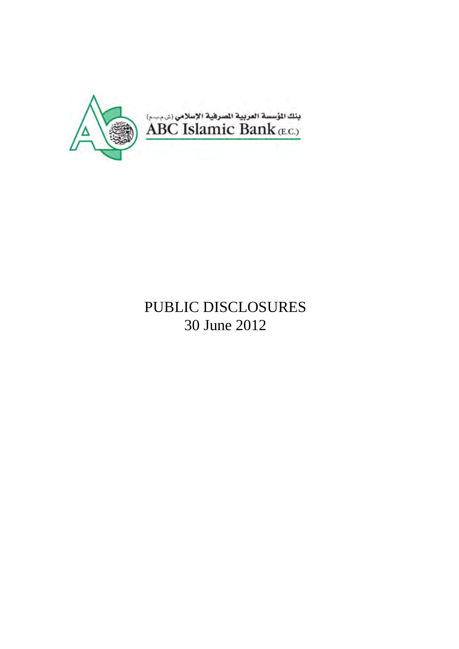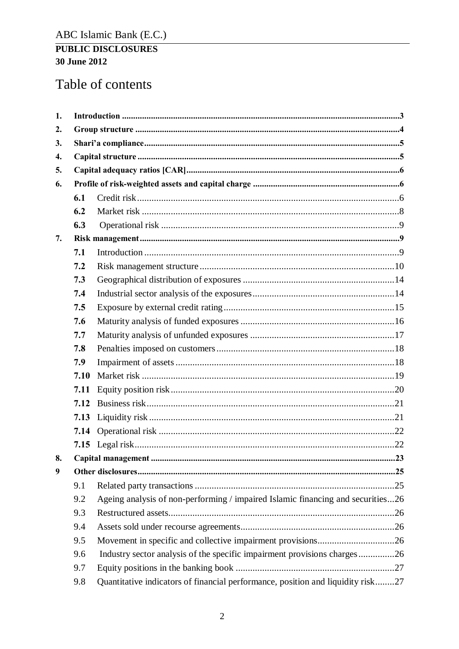# Table of contents

| 1. |      |                                                                                 |
|----|------|---------------------------------------------------------------------------------|
| 2. |      |                                                                                 |
| 3. |      |                                                                                 |
| 4. |      |                                                                                 |
| 5. |      |                                                                                 |
| 6. |      |                                                                                 |
|    | 6.1  |                                                                                 |
|    | 6.2  |                                                                                 |
|    | 6.3  |                                                                                 |
| 7. |      |                                                                                 |
|    | 7.1  |                                                                                 |
|    | 7.2  |                                                                                 |
|    | 7.3  |                                                                                 |
|    | 7.4  |                                                                                 |
|    | 7.5  |                                                                                 |
|    | 7.6  |                                                                                 |
|    | 7.7  |                                                                                 |
|    | 7.8  |                                                                                 |
|    | 7.9  |                                                                                 |
|    | 7.10 |                                                                                 |
|    | 7.11 |                                                                                 |
|    | 7.12 |                                                                                 |
|    | 7.13 |                                                                                 |
|    | 7.14 |                                                                                 |
|    |      |                                                                                 |
| 8. |      |                                                                                 |
| 9  |      |                                                                                 |
|    | 9.1  |                                                                                 |
|    | 9.2  | Ageing analysis of non-performing / impaired Islamic financing and securities26 |
|    | 9.3  |                                                                                 |
|    | 9.4  |                                                                                 |
|    | 9.5  |                                                                                 |
|    | 9.6  | Industry sector analysis of the specific impairment provisions charges26        |
|    | 9.7  |                                                                                 |
|    | 9.8  | Quantitative indicators of financial performance, position and liquidity risk27 |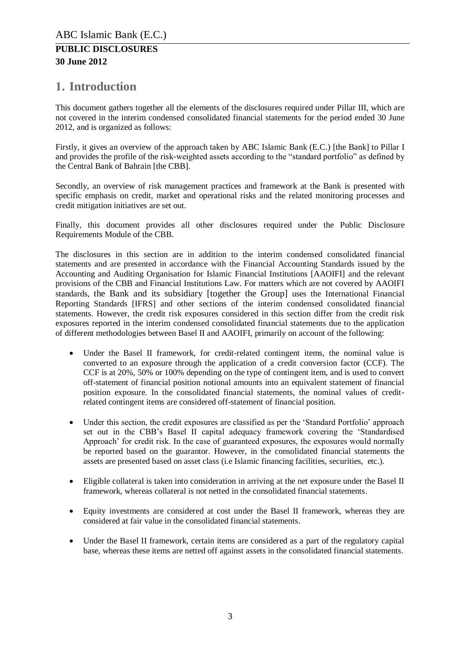# <span id="page-2-0"></span>**1. Introduction**

This document gathers together all the elements of the disclosures required under Pillar III, which are not covered in the interim condensed consolidated financial statements for the period ended 30 June 2012, and is organized as follows:

Firstly, it gives an overview of the approach taken by ABC Islamic Bank (E.C.) [the Bank] to Pillar I and provides the profile of the risk-weighted assets according to the "standard portfolio" as defined by the Central Bank of Bahrain [the CBB].

Secondly, an overview of risk management practices and framework at the Bank is presented with specific emphasis on credit, market and operational risks and the related monitoring processes and credit mitigation initiatives are set out.

Finally, this document provides all other disclosures required under the Public Disclosure Requirements Module of the CBB.

The disclosures in this section are in addition to the interim condensed consolidated financial statements and are presented in accordance with the Financial Accounting Standards issued by the Accounting and Auditing Organisation for Islamic Financial Institutions [AAOIFI] and the relevant provisions of the CBB and Financial Institutions Law. For matters which are not covered by AAOIFI standards, the Bank and its subsidiary [together the Group] uses the International Financial Reporting Standards [IFRS] and other sections of the interim condensed consolidated financial statements. However, the credit risk exposures considered in this section differ from the credit risk exposures reported in the interim condensed consolidated financial statements due to the application of different methodologies between Basel II and AAOIFI, primarily on account of the following:

- Under the Basel II framework, for credit-related contingent items, the nominal value is converted to an exposure through the application of a credit conversion factor (CCF). The CCF is at 20%, 50% or 100% depending on the type of contingent item, and is used to convert off-statement of financial position notional amounts into an equivalent statement of financial position exposure. In the consolidated financial statements, the nominal values of creditrelated contingent items are considered off-statement of financial position.
- Under this section, the credit exposures are classified as per the 'Standard Portfolio' approach set out in the CBB's Basel II capital adequacy framework covering the 'Standardised Approach' for credit risk. In the case of guaranteed exposures, the exposures would normally be reported based on the guarantor. However, in the consolidated financial statements the assets are presented based on asset class (i.e Islamic financing facilities, securities, etc.).
- Eligible collateral is taken into consideration in arriving at the net exposure under the Basel II framework, whereas collateral is not netted in the consolidated financial statements.
- Equity investments are considered at cost under the Basel II framework, whereas they are considered at fair value in the consolidated financial statements.
- Under the Basel II framework, certain items are considered as a part of the regulatory capital base, whereas these items are netted off against assets in the consolidated financial statements.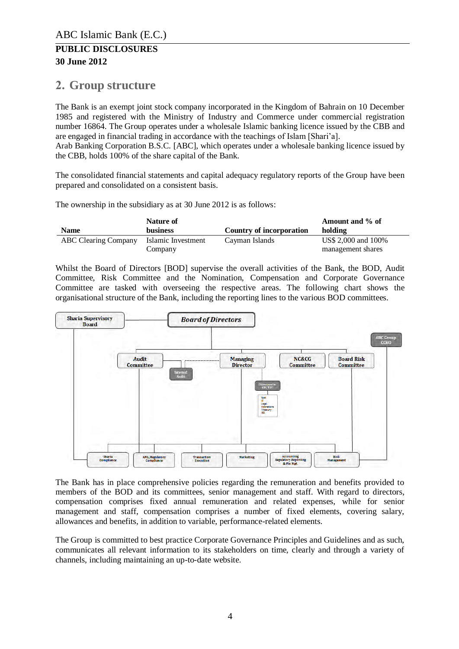# <span id="page-3-0"></span>**2. Group structure**

The Bank is an exempt joint stock company incorporated in the Kingdom of Bahrain on 10 December 1985 and registered with the Ministry of Industry and Commerce under commercial registration number 16864. The Group operates under a wholesale Islamic banking licence issued by the CBB and are engaged in financial trading in accordance with the teachings of Islam [Shari'a].

Arab Banking Corporation B.S.C. [ABC], which operates under a wholesale banking licence issued by the CBB, holds 100% of the share capital of the Bank.

The consolidated financial statements and capital adequacy regulatory reports of the Group have been prepared and consolidated on a consistent basis.

The ownership in the subsidiary as at 30 June 2012 is as follows:

|                      | Nature of          |                          | Amount and % of     |
|----------------------|--------------------|--------------------------|---------------------|
| <b>Name</b>          | <b>business</b>    | Country of incorporation | holding             |
| ABC Clearing Company | Islamic Investment | Cayman Islands           | US\$ 2,000 and 100% |
|                      | Company            |                          | management shares   |

Whilst the Board of Directors [BOD] supervise the overall activities of the Bank, the BOD, Audit Committee, Risk Committee and the Nomination, Compensation and Corporate Governance Committee are tasked with overseeing the respective areas. The following chart shows the organisational structure of the Bank, including the reporting lines to the various BOD committees.



The Bank has in place comprehensive policies regarding the remuneration and benefits provided to members of the BOD and its committees, senior management and staff. With regard to directors, compensation comprises fixed annual remuneration and related expenses, while for senior management and staff, compensation comprises a number of fixed elements, covering salary, allowances and benefits, in addition to variable, performance-related elements.

The Group is committed to best practice Corporate Governance Principles and Guidelines and as such, communicates all relevant information to its stakeholders on time, clearly and through a variety of channels, including maintaining an up-to-date website.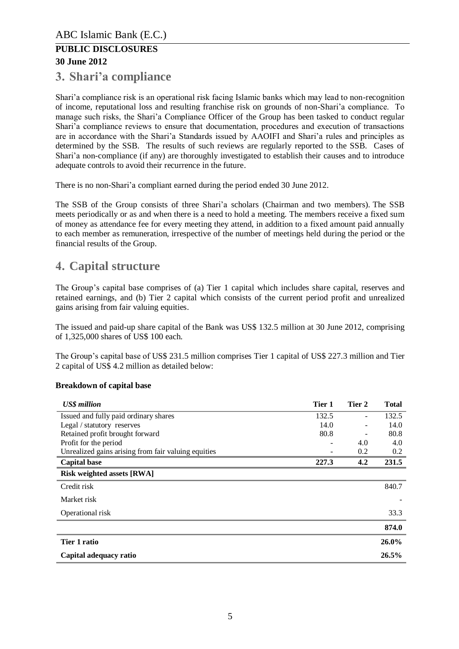# <span id="page-4-0"></span>**3. Shari'a compliance**

Shari'a compliance risk is an operational risk facing Islamic banks which may lead to non-recognition of income, reputational loss and resulting franchise risk on grounds of non-Shari'a compliance. To manage such risks, the Shari'a Compliance Officer of the Group has been tasked to conduct regular Shari'a compliance reviews to ensure that documentation, procedures and execution of transactions are in accordance with the Shari'a Standards issued by AAOIFI and Shari'a rules and principles as determined by the SSB. The results of such reviews are regularly reported to the SSB. Cases of Shari'a non-compliance (if any) are thoroughly investigated to establish their causes and to introduce adequate controls to avoid their recurrence in the future.

There is no non-Shari'a compliant earned during the period ended 30 June 2012.

The SSB of the Group consists of three Shari'a scholars (Chairman and two members). The SSB meets periodically or as and when there is a need to hold a meeting. The members receive a fixed sum of money as attendance fee for every meeting they attend, in addition to a fixed amount paid annually to each member as remuneration, irrespective of the number of meetings held during the period or the financial results of the Group.

# <span id="page-4-1"></span>**4. Capital structure**

The Group's capital base comprises of (a) Tier 1 capital which includes share capital, reserves and retained earnings, and (b) Tier 2 capital which consists of the current period profit and unrealized gains arising from fair valuing equities.

The issued and paid-up share capital of the Bank was US\$ 132.5 million at 30 June 2012, comprising of 1,325,000 shares of US\$ 100 each.

The Group's capital base of US\$ 231.5 million comprises Tier 1 capital of US\$ 227.3 million and Tier 2 capital of US\$ 4.2 million as detailed below:

#### **Breakdown of capital base**

| <b>US\$</b> million                                 | Tier 1 | Tier 2 | <b>Total</b> |
|-----------------------------------------------------|--------|--------|--------------|
| Issued and fully paid ordinary shares               | 132.5  |        | 132.5        |
| Legal / statutory reserves                          | 14.0   |        | 14.0         |
| Retained profit brought forward                     | 80.8   |        | 80.8         |
| Profit for the period                               |        | 4.0    | 4.0          |
| Unrealized gains arising from fair valuing equities |        | 0.2    | 0.2          |
| <b>Capital base</b>                                 | 227.3  | 4.2    | 231.5        |
| <b>Risk weighted assets [RWA]</b>                   |        |        |              |
| Credit risk                                         |        |        | 840.7        |
| Market risk                                         |        |        |              |
| Operational risk                                    |        |        | 33.3         |
|                                                     |        |        | 874.0        |
| Tier 1 ratio                                        |        |        | 26.0%        |
| Capital adequacy ratio                              |        |        | 26.5%        |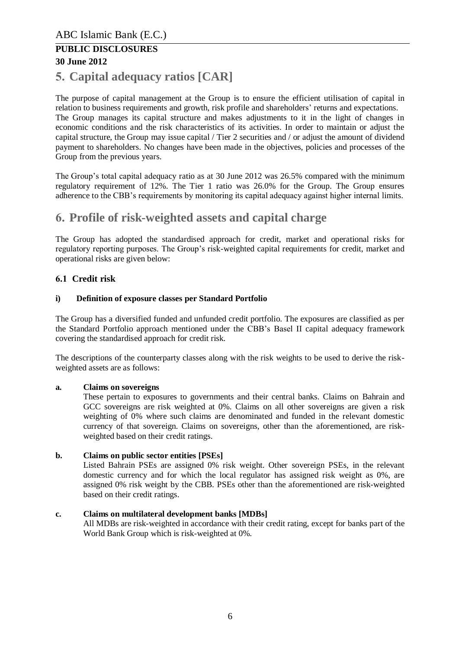# <span id="page-5-0"></span>**5. Capital adequacy ratios [CAR]**

The purpose of capital management at the Group is to ensure the efficient utilisation of capital in relation to business requirements and growth, risk profile and shareholders' returns and expectations. The Group manages its capital structure and makes adjustments to it in the light of changes in economic conditions and the risk characteristics of its activities. In order to maintain or adjust the capital structure, the Group may issue capital / Tier 2 securities and / or adjust the amount of dividend payment to shareholders. No changes have been made in the objectives, policies and processes of the Group from the previous years.

The Group's total capital adequacy ratio as at 30 June 2012 was 26.5% compared with the minimum regulatory requirement of 12%. The Tier 1 ratio was 26.0% for the Group. The Group ensures adherence to the CBB's requirements by monitoring its capital adequacy against higher internal limits.

# <span id="page-5-1"></span>**6. Profile of risk-weighted assets and capital charge**

The Group has adopted the standardised approach for credit, market and operational risks for regulatory reporting purposes. The Group's risk-weighted capital requirements for credit, market and operational risks are given below:

#### <span id="page-5-2"></span>**6.1 Credit risk**

#### **i) Definition of exposure classes per Standard Portfolio**

The Group has a diversified funded and unfunded credit portfolio. The exposures are classified as per the Standard Portfolio approach mentioned under the CBB's Basel II capital adequacy framework covering the standardised approach for credit risk.

The descriptions of the counterparty classes along with the risk weights to be used to derive the riskweighted assets are as follows:

#### **a. Claims on sovereigns**

These pertain to exposures to governments and their central banks. Claims on Bahrain and GCC sovereigns are risk weighted at 0%. Claims on all other sovereigns are given a risk weighting of 0% where such claims are denominated and funded in the relevant domestic currency of that sovereign. Claims on sovereigns, other than the aforementioned, are riskweighted based on their credit ratings.

#### **b. Claims on public sector entities [PSEs]**

Listed Bahrain PSEs are assigned 0% risk weight. Other sovereign PSEs, in the relevant domestic currency and for which the local regulator has assigned risk weight as 0%, are assigned 0% risk weight by the CBB. PSEs other than the aforementioned are risk-weighted based on their credit ratings.

#### **c. Claims on multilateral development banks [MDBs]**

All MDBs are risk-weighted in accordance with their credit rating, except for banks part of the World Bank Group which is risk-weighted at 0%.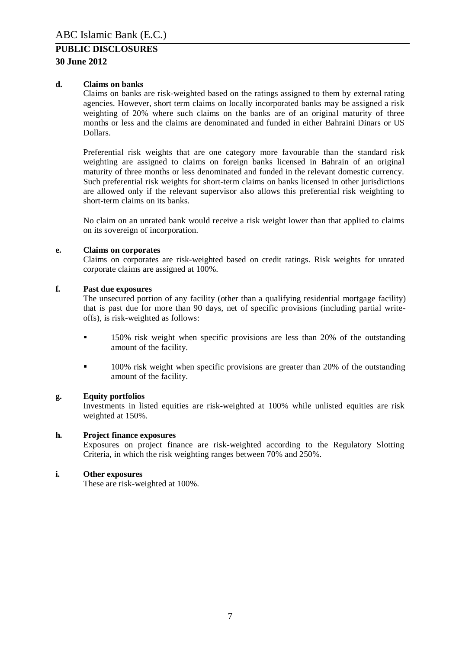#### **30 June 2012**

#### **d. Claims on banks**

Claims on banks are risk-weighted based on the ratings assigned to them by external rating agencies. However, short term claims on locally incorporated banks may be assigned a risk weighting of 20% where such claims on the banks are of an original maturity of three months or less and the claims are denominated and funded in either Bahraini Dinars or US Dollars.

Preferential risk weights that are one category more favourable than the standard risk weighting are assigned to claims on foreign banks licensed in Bahrain of an original maturity of three months or less denominated and funded in the relevant domestic currency. Such preferential risk weights for short-term claims on banks licensed in other jurisdictions are allowed only if the relevant supervisor also allows this preferential risk weighting to short-term claims on its banks.

No claim on an unrated bank would receive a risk weight lower than that applied to claims on its sovereign of incorporation.

#### **e. Claims on corporates**

Claims on corporates are risk-weighted based on credit ratings. Risk weights for unrated corporate claims are assigned at 100%.

#### **f. Past due exposures**

The unsecured portion of any facility (other than a qualifying residential mortgage facility) that is past due for more than 90 days, net of specific provisions (including partial writeoffs), is risk-weighted as follows:

- 150% risk weight when specific provisions are less than 20% of the outstanding amount of the facility.
- <sup>100%</sup> risk weight when specific provisions are greater than 20% of the outstanding amount of the facility.

#### **g. Equity portfolios**

Investments in listed equities are risk-weighted at 100% while unlisted equities are risk weighted at 150%.

#### **h. Project finance exposures**

Exposures on project finance are risk-weighted according to the Regulatory Slotting Criteria, in which the risk weighting ranges between 70% and 250%.

#### **i. Other exposures**

These are risk-weighted at 100%.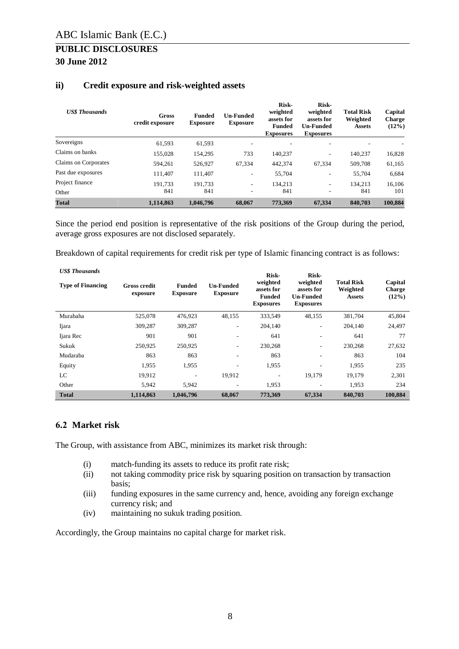| <b>US\$</b> Thousands | <b>Gross</b><br>credit exposure | <b>Un-Funded</b><br><b>Funded</b><br><b>Exposure</b> |                          | Risk-<br>weighted<br>assets for<br><b>Funded</b><br><b>Exposures</b> | Risk-<br>weighted<br>assets for<br><b>Un-Funded</b><br><b>Exposures</b> | <b>Total Risk</b><br>Weighted<br><b>Assets</b> | Capital<br><b>Charge</b><br>$(12\%)$ |
|-----------------------|---------------------------------|------------------------------------------------------|--------------------------|----------------------------------------------------------------------|-------------------------------------------------------------------------|------------------------------------------------|--------------------------------------|
| Sovereigns            | 61.593                          | 61.593                                               |                          |                                                                      | $\overline{\phantom{a}}$                                                |                                                |                                      |
| Claims on banks       | 155.028                         | 154,295                                              | 733                      | 140.237                                                              | $\overline{\phantom{a}}$                                                | 140.237                                        | 16,828                               |
| Claims on Corporates  | 594.261                         | 526,927                                              | 67,334                   | 442,374                                                              | 67,334                                                                  | 509,708                                        | 61,165                               |
| Past due exposures    | 111.407                         | 111.407                                              | Ξ.                       | 55,704                                                               | $\sim$                                                                  | 55,704                                         | 6,684                                |
| Project finance       | 191.733                         | 191.733                                              | $\overline{\phantom{a}}$ | 134.213                                                              | $\overline{\phantom{a}}$                                                | 134.213                                        | 16.106                               |
| Other                 | 841                             | 841                                                  |                          | 841                                                                  | $\overline{\phantom{a}}$                                                | 841                                            | 101                                  |
| <b>Total</b>          | 1.114.863                       | 1,046,796                                            | 68,067                   | 773.369                                                              | 67,334                                                                  | 840,703                                        | 100,884                              |

#### **ii) Credit exposure and risk-weighted assets**

Since the period end position is representative of the risk positions of the Group during the period, average gross exposures are not disclosed separately.

Breakdown of capital requirements for credit risk per type of Islamic financing contract is as follows:

| <b>US\$</b> Thousands<br><b>Type of Financing</b> | <b>Gross credit</b><br>exposure | <b>Funded</b><br><b>Exposure</b> | <b>Un-Funded</b><br><b>Exposure</b> | Risk-<br>weighted<br>assets for<br><b>Funded</b><br><b>Exposures</b> | Risk-<br>weighted<br>assets for<br><b>Un-Funded</b><br><b>Exposures</b> | <b>Total Risk</b><br>Weighted<br><b>Assets</b> | Capital<br><b>Charge</b><br>$(12\%)$ |
|---------------------------------------------------|---------------------------------|----------------------------------|-------------------------------------|----------------------------------------------------------------------|-------------------------------------------------------------------------|------------------------------------------------|--------------------------------------|
| Murabaha                                          | 525,078                         | 476,923                          | 48,155                              | 333,549                                                              | 48,155                                                                  | 381,704                                        | 45,804                               |
| Ijara                                             | 309,287                         | 309,287                          | $\overline{\phantom{a}}$            | 204,140                                                              | $\overline{\phantom{a}}$                                                | 204,140                                        | 24,497                               |
| Ijara Rec                                         | 901                             | 901                              | $\overline{\phantom{a}}$            | 641                                                                  | ۰.                                                                      | 641                                            | 77                                   |
| Sukuk                                             | 250,925                         | 250.925                          | $\overline{\phantom{a}}$            | 230,268                                                              | ۰.                                                                      | 230,268                                        | 27,632                               |
| Mudaraba                                          | 863                             | 863                              |                                     | 863                                                                  | $\overline{\phantom{a}}$                                                | 863                                            | 104                                  |
| Equity                                            | 1,955                           | 1,955                            | ٠                                   | 1,955                                                                | $\overline{\phantom{a}}$                                                | 1,955                                          | 235                                  |
| LC                                                | 19,912                          |                                  | 19,912                              | ۰                                                                    | 19,179                                                                  | 19,179                                         | 2,301                                |
| Other                                             | 5.942                           | 5.942                            | $\overline{\phantom{a}}$            | 1,953                                                                | $\overline{\phantom{a}}$                                                | 1.953                                          | 234                                  |
| <b>Total</b>                                      | 1,114,863                       | 1,046,796                        | 68,067                              | 773,369                                                              | 67,334                                                                  | 840,703                                        | 100,884                              |

#### <span id="page-7-0"></span>**6.2 Market risk**

The Group, with assistance from ABC, minimizes its market risk through:

- (i) match-funding its assets to reduce its profit rate risk;
- (ii) not taking commodity price risk by squaring position on transaction by transaction basis;
- (iii) funding exposures in the same currency and, hence, avoiding any foreign exchange currency risk; and
- (iv) maintaining no sukuk trading position.

Accordingly, the Group maintains no capital charge for market risk.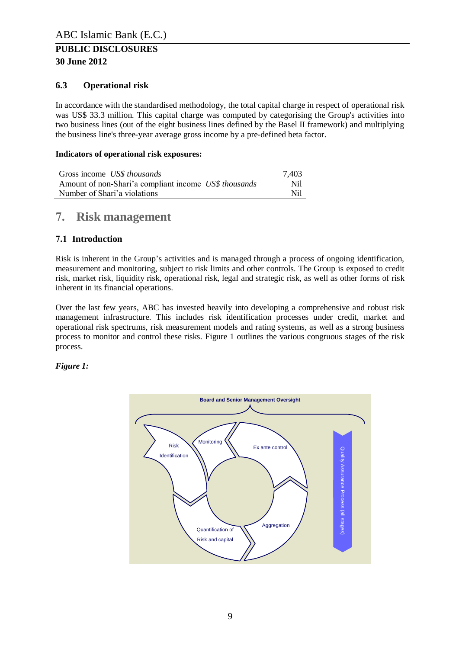### <span id="page-8-0"></span>**6.3 Operational risk**

In accordance with the standardised methodology, the total capital charge in respect of operational risk was US\$ 33.3 million. This capital charge was computed by categorising the Group's activities into two business lines (out of the eight business lines defined by the Basel II framework) and multiplying the business line's three-year average gross income by a pre-defined beta factor.

#### **Indicators of operational risk exposures:**

| Gross income US\$ thousands                           | 7.403 |
|-------------------------------------------------------|-------|
| Amount of non-Shari'a compliant income US\$ thousands | Nil   |
| Number of Shari'a violations                          | Nil   |

# <span id="page-8-1"></span>**7. Risk management**

### <span id="page-8-2"></span>**7.1 Introduction**

Risk is inherent in the Group's activities and is managed through a process of ongoing identification, measurement and monitoring, subject to risk limits and other controls. The Group is exposed to credit risk, market risk, liquidity risk, operational risk, legal and strategic risk, as well as other forms of risk inherent in its financial operations.

Over the last few years, ABC has invested heavily into developing a comprehensive and robust risk management infrastructure. This includes risk identification processes under credit, market and operational risk spectrums, risk measurement models and rating systems, as well as a strong business process to monitor and control these risks. Figure 1 outlines the various congruous stages of the risk process.

#### *Figure 1:*

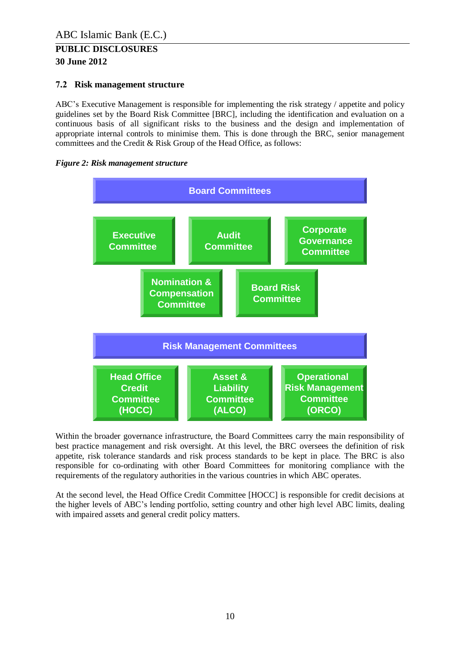### <span id="page-9-0"></span>**7.2 Risk management structure**

ABC's Executive Management is responsible for implementing the risk strategy / appetite and policy guidelines set by the Board Risk Committee [BRC], including the identification and evaluation on a continuous basis of all significant risks to the business and the design and implementation of appropriate internal controls to minimise them. This is done through the BRC, senior management committees and the Credit & Risk Group of the Head Office, as follows:





Within the broader governance infrastructure, the Board Committees carry the main responsibility of best practice management and risk oversight. At this level, the BRC oversees the definition of risk appetite, risk tolerance standards and risk process standards to be kept in place. The BRC is also responsible for co-ordinating with other Board Committees for monitoring compliance with the requirements of the regulatory authorities in the various countries in which ABC operates.

At the second level, the Head Office Credit Committee [HOCC] is responsible for credit decisions at the higher levels of ABC's lending portfolio, setting country and other high level ABC limits, dealing with impaired assets and general credit policy matters.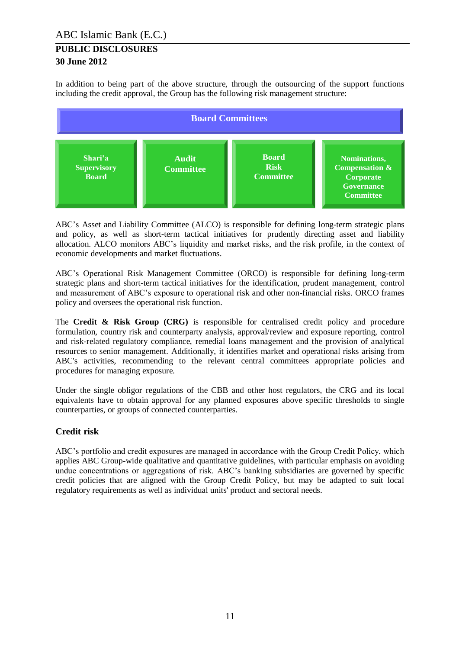In addition to being part of the above structure, through the outsourcing of the support functions including the credit approval, the Group has the following risk management structure:



ABC's Asset and Liability Committee (ALCO) is responsible for defining long-term strategic plans and policy, as well as short-term tactical initiatives for prudently directing asset and liability allocation. ALCO monitors ABC's liquidity and market risks, and the risk profile, in the context of economic developments and market fluctuations.

ABC's Operational Risk Management Committee (ORCO) is responsible for defining long-term strategic plans and short-term tactical initiatives for the identification, prudent management, control and measurement of ABC's exposure to operational risk and other non-financial risks. ORCO frames policy and oversees the operational risk function.

The **Credit & Risk Group (CRG)** is responsible for centralised credit policy and procedure formulation, country risk and counterparty analysis, approval/review and exposure reporting, control and risk-related regulatory compliance, remedial loans management and the provision of analytical resources to senior management. Additionally, it identifies market and operational risks arising from ABC's activities, recommending to the relevant central committees appropriate policies and procedures for managing exposure.

Under the single obligor regulations of the CBB and other host regulators, the CRG and its local equivalents have to obtain approval for any planned exposures above specific thresholds to single counterparties, or groups of connected counterparties.

#### **Credit risk**

ABC's portfolio and credit exposures are managed in accordance with the Group Credit Policy, which applies ABC Group-wide qualitative and quantitative guidelines, with particular emphasis on avoiding undue concentrations or aggregations of risk. ABC's banking subsidiaries are governed by specific credit policies that are aligned with the Group Credit Policy, but may be adapted to suit local regulatory requirements as well as individual units' product and sectoral needs.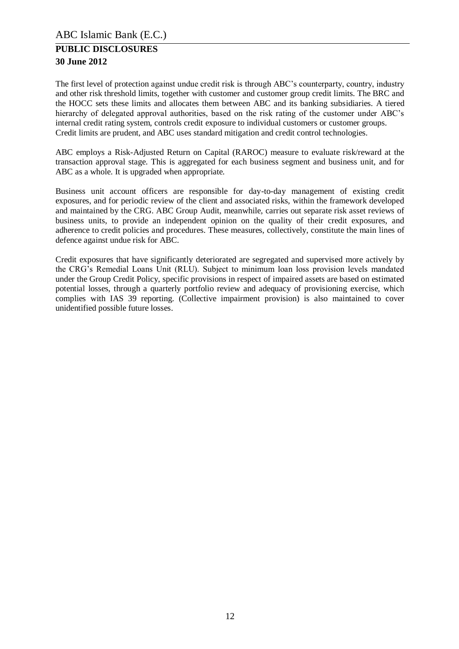The first level of protection against undue credit risk is through ABC's counterparty, country, industry and other risk threshold limits, together with customer and customer group credit limits. The BRC and the HOCC sets these limits and allocates them between ABC and its banking subsidiaries. A tiered hierarchy of delegated approval authorities, based on the risk rating of the customer under ABC's internal credit rating system, controls credit exposure to individual customers or customer groups. Credit limits are prudent, and ABC uses standard mitigation and credit control technologies.

ABC employs a Risk-Adjusted Return on Capital (RAROC) measure to evaluate risk/reward at the transaction approval stage. This is aggregated for each business segment and business unit, and for ABC as a whole. It is upgraded when appropriate.

Business unit account officers are responsible for day-to-day management of existing credit exposures, and for periodic review of the client and associated risks, within the framework developed and maintained by the CRG. ABC Group Audit, meanwhile, carries out separate risk asset reviews of business units, to provide an independent opinion on the quality of their credit exposures, and adherence to credit policies and procedures. These measures, collectively, constitute the main lines of defence against undue risk for ABC.

Credit exposures that have significantly deteriorated are segregated and supervised more actively by the CRG's Remedial Loans Unit (RLU). Subject to minimum loan loss provision levels mandated under the Group Credit Policy, specific provisions in respect of impaired assets are based on estimated potential losses, through a quarterly portfolio review and adequacy of provisioning exercise, which complies with IAS 39 reporting. (Collective impairment provision) is also maintained to cover unidentified possible future losses.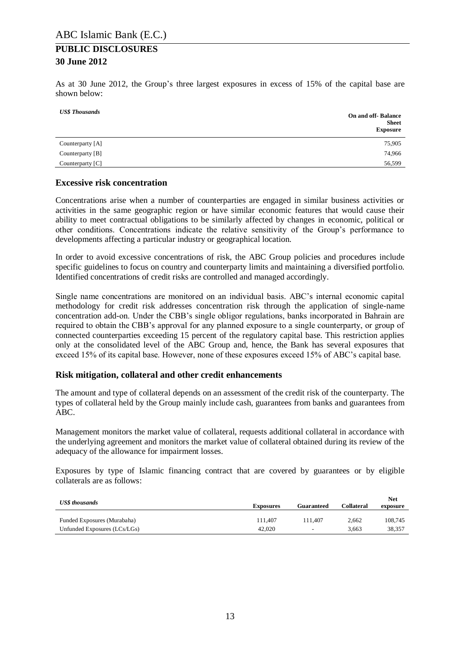As at 30 June 2012, the Group's three largest exposures in excess of 15% of the capital base are shown below:

| <b>US\$</b> Thousands | <b>On and off-Balance</b><br><b>Sheet</b><br><b>Exposure</b> |
|-----------------------|--------------------------------------------------------------|
| Counterparty [A]      | 75,905                                                       |
| Counterparty [B]      | 74,966                                                       |
| Counterparty [C]      | 56,599                                                       |

#### **Excessive risk concentration**

Concentrations arise when a number of counterparties are engaged in similar business activities or activities in the same geographic region or have similar economic features that would cause their ability to meet contractual obligations to be similarly affected by changes in economic, political or other conditions. Concentrations indicate the relative sensitivity of the Group's performance to developments affecting a particular industry or geographical location.

In order to avoid excessive concentrations of risk, the ABC Group policies and procedures include specific guidelines to focus on country and counterparty limits and maintaining a diversified portfolio. Identified concentrations of credit risks are controlled and managed accordingly.

Single name concentrations are monitored on an individual basis. ABC's internal economic capital methodology for credit risk addresses concentration risk through the application of single-name concentration add-on. Under the CBB's single obligor regulations, banks incorporated in Bahrain are required to obtain the CBB's approval for any planned exposure to a single counterparty, or group of connected counterparties exceeding 15 percent of the regulatory capital base. This restriction applies only at the consolidated level of the ABC Group and, hence, the Bank has several exposures that exceed 15% of its capital base. However, none of these exposures exceed 15% of ABC's capital base.

#### **Risk mitigation, collateral and other credit enhancements**

The amount and type of collateral depends on an assessment of the credit risk of the counterparty. The types of collateral held by the Group mainly include cash, guarantees from banks and guarantees from ABC.

Management monitors the market value of collateral, requests additional collateral in accordance with the underlying agreement and monitors the market value of collateral obtained during its review of the adequacy of the allowance for impairment losses.

Exposures by type of Islamic financing contract that are covered by guarantees or by eligible collaterals are as follows:

| <b>US\$</b> thousands        |                  |                          |            | <b>Net</b> |
|------------------------------|------------------|--------------------------|------------|------------|
|                              | <b>Exposures</b> |                          | Collateral | exposure   |
|                              |                  |                          |            |            |
| Funded Exposures (Murabaha)  | 111.407          | 111.407                  | 2.662      | 108.745    |
| Unfunded Exposures (LCs/LGs) | 42,020           | $\overline{\phantom{a}}$ | 3.663      | 38.357     |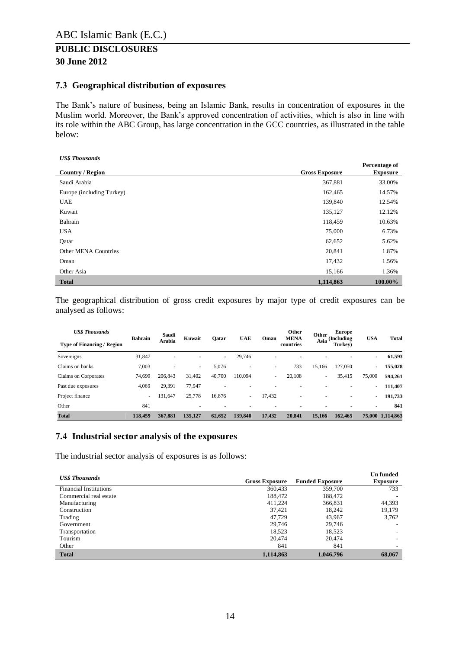#### <span id="page-13-0"></span>**7.3 Geographical distribution of exposures**

The Bank's nature of business, being an Islamic Bank, results in concentration of exposures in the Muslim world. Moreover, the Bank's approved concentration of activities, which is also in line with its role within the ABC Group, has large concentration in the GCC countries, as illustrated in the table below:

| <b>US\$</b> Thousands     |                       |                                  |
|---------------------------|-----------------------|----------------------------------|
| <b>Country / Region</b>   | <b>Gross Exposure</b> | Percentage of<br><b>Exposure</b> |
| Saudi Arabia              | 367,881               | 33.00%                           |
| Europe (including Turkey) | 162,465               | 14.57%                           |
| <b>UAE</b>                | 139,840               | 12.54%                           |
| Kuwait                    | 135,127               | 12.12%                           |
| Bahrain                   | 118,459               | 10.63%                           |
| <b>USA</b>                | 75,000                | 6.73%                            |
| Qatar                     | 62,652                | 5.62%                            |
| Other MENA Countries      | 20,841                | 1.87%                            |
| Oman                      | 17,432                | 1.56%                            |
| Other Asia                | 15,166                | 1.36%                            |
| <b>Total</b>              | 1,114,863             | 100.00%                          |

The geographical distribution of gross credit exposures by major type of credit exposures can be analysed as follows:

| <b>US\$</b> Thousands             | <b>Bahrain</b>           | Saudi          | Kuwait  |        | <b>UAE</b>               | Oman   | Other<br><b>MENA</b> | Other  | <b>Europe</b><br>(Including | <b>USA</b> | <b>Total</b>     |
|-----------------------------------|--------------------------|----------------|---------|--------|--------------------------|--------|----------------------|--------|-----------------------------|------------|------------------|
| <b>Type of Financing / Region</b> |                          | Arabia         |         | Qatar  |                          |        | countries            | Asia   | Turkey)                     |            |                  |
| Sovereigns                        | 31,847                   | $\overline{a}$ | ۰       | ٠      | 29,746                   | ۰      | ٠                    |        |                             | $\sim$     | 61,593           |
| Claims on banks                   | 7,003                    | $\overline{a}$ | ٠       | 5,076  | $\overline{\phantom{a}}$ | ۰      | 733                  | 15,166 | 127,050                     | ٠          | 155,028          |
| Claims on Corporates              | 74.699                   | 206,843        | 31.402  | 40.700 | 110.094                  | ٠      | 20,108               | -      | 35,415                      | 75,000     | 594.261          |
| Past due exposures                | 4,069                    | 29,391         | 77.947  |        |                          |        | ۰                    |        |                             | ٠          | 111,407          |
| Project finance                   | $\overline{\phantom{0}}$ | 131,647        | 25,778  | 16,876 | $\overline{\phantom{a}}$ | 17,432 | ۰                    |        |                             | $\sim$     | 191,733          |
| Other                             | 841                      |                | ۰       | ۰      |                          | ۰      | ۰                    |        | $\overline{\phantom{a}}$    | $\sim$     | 841              |
| <b>Total</b>                      | 118,459                  | 367,881        | 135,127 | 62,652 | 139,840                  | 17,432 | 20,841               | 15,166 | 162.465                     |            | 75,000 1,114,863 |

#### <span id="page-13-1"></span>**7.4 Industrial sector analysis of the exposures**

The industrial sector analysis of exposures is as follows:

| <b>US\$</b> Thousands         |                       |                        | <b>Un</b> funded |
|-------------------------------|-----------------------|------------------------|------------------|
|                               | <b>Gross Exposure</b> | <b>Funded Exposure</b> | <b>Exposure</b>  |
| <b>Financial Institutions</b> | 360,433               | 359,700                | 733              |
| Commercial real estate        | 188,472               | 188,472                |                  |
| Manufacturing                 | 411.224               | 366,831                | 44,393           |
| Construction                  | 37.421                | 18,242                 | 19,179           |
| Trading                       | 47.729                | 43.967                 | 3,762            |
| Government                    | 29.746                | 29.746                 |                  |
| Transportation                | 18,523                | 18,523                 | -                |
| Tourism                       | 20.474                | 20,474                 | ۰                |
| Other                         | 841                   | 841                    |                  |
| <b>Total</b>                  | 1,114,863             | 1,046,796              | 68,067           |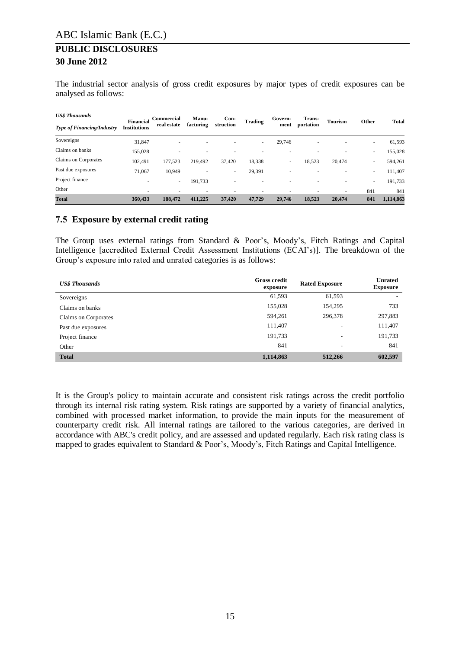The industrial sector analysis of gross credit exposures by major types of credit exposures can be analysed as follows:

| <b>US\$</b> Thousands             | <b>Financial</b>    | Commercial  | Manu-                    | $Con-$                   | <b>Trading</b>           | Govern-        | Trans-                   | <b>Tourism</b> | Other | <b>Total</b> |
|-----------------------------------|---------------------|-------------|--------------------------|--------------------------|--------------------------|----------------|--------------------------|----------------|-------|--------------|
| <b>Type of Financing/Industry</b> | <b>Institutions</b> | real estate | facturing                | struction                |                          | ment           | portation                |                |       |              |
| Sovereigns                        | 31.847              | ۰           | $\overline{\phantom{a}}$ |                          | $\overline{\phantom{a}}$ | 29.746         | $\overline{\phantom{a}}$ |                | ۰.    | 61,593       |
| Claims on banks                   | 155,028             | ۰           |                          |                          |                          |                |                          |                | -     | 155,028      |
| Claims on Corporates              | 102.491             | 177,523     | 219,492                  | 37,420                   | 18,338                   | $\overline{a}$ | 18,523                   | 20.474         | ٠     | 594,261      |
| Past due exposures                | 71.067              | 10,949      |                          | ۰                        | 29,391                   | $\overline{a}$ |                          |                | -     | 111,407      |
| Project finance                   |                     | ٠           | 191,733                  | $\overline{\phantom{a}}$ | ۰                        | $\overline{a}$ | $\overline{\phantom{a}}$ | -              | ٠     | 191,733      |
| Other                             |                     | ۰           | ۰                        |                          |                          |                |                          | -              | 841   | 841          |
| <b>Total</b>                      | 360,433             | 188,472     | 411,225                  | 37,420                   | 47,729                   | 29,746         | 18,523                   | 20,474         | 841   | 1,114,863    |

#### <span id="page-14-0"></span>**7.5 Exposure by external credit rating**

The Group uses external ratings from Standard & Poor's, Moody's, Fitch Ratings and Capital Intelligence [accredited External Credit Assessment Institutions (ECAI's)]. The breakdown of the Group's exposure into rated and unrated categories is as follows:

| <b>US\$</b> Thousands | <b>Gross credit</b><br>exposure | <b>Rated Exposure</b>    | <b>Unrated</b><br><b>Exposure</b> |
|-----------------------|---------------------------------|--------------------------|-----------------------------------|
| Sovereigns            | 61,593                          | 61,593                   | $\overline{\phantom{a}}$          |
| Claims on banks       | 155,028                         | 154,295                  | 733                               |
| Claims on Corporates  | 594,261                         | 296,378                  | 297,883                           |
| Past due exposures    | 111,407                         | $\overline{\phantom{a}}$ | 111,407                           |
| Project finance       | 191,733                         | $\overline{\phantom{a}}$ | 191,733                           |
| Other                 | 841                             | $\overline{\phantom{a}}$ | 841                               |
| <b>Total</b>          | 1,114,863                       | 512,266                  | 602,597                           |

It is the Group's policy to maintain accurate and consistent risk ratings across the credit portfolio through its internal risk rating system. Risk ratings are supported by a variety of financial analytics, combined with processed market information, to provide the main inputs for the measurement of counterparty credit risk. All internal ratings are tailored to the various categories, are derived in accordance with ABC's credit policy, and are assessed and updated regularly. Each risk rating class is mapped to grades equivalent to Standard & Poor's, Moody's, Fitch Ratings and Capital Intelligence.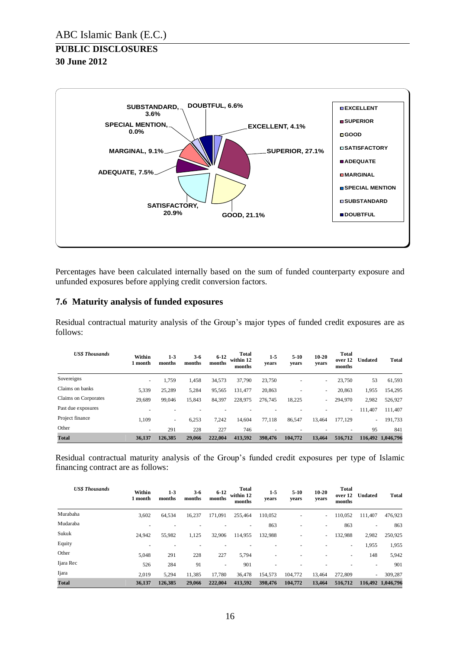

Percentages have been calculated internally based on the sum of funded counterparty exposure and unfunded exposures before applying credit conversion factors.

#### <span id="page-15-0"></span>**7.6 Maturity analysis of funded exposures**

Residual contractual maturity analysis of the Group's major types of funded credit exposures are as follows:

| <b>US\$ Thousands</b> | Within<br>l month        | $1 - 3$<br>months | 3-6<br>months | $6 - 12$<br>months | Total<br>within 12<br>months | $1 - 5$<br>vears | $5-10$<br>years | $10 - 20$<br>years       | <b>Total</b><br>over 12<br>months | <b>Undated</b> | <b>Total</b>      |
|-----------------------|--------------------------|-------------------|---------------|--------------------|------------------------------|------------------|-----------------|--------------------------|-----------------------------------|----------------|-------------------|
| Sovereigns            | $\overline{\phantom{0}}$ | 1,759             | 1,458         | 34,573             | 37,790                       | 23,750           | ٠               | -                        | 23,750                            | 53             | 61,593            |
| Claims on banks       | 5,339                    | 25,289            | 5,284         | 95,565             | 131,477                      | 20,863           | ٠               | -                        | 20,863                            | 1,955          | 154,295           |
| Claims on Corporates  | 29,689                   | 99,046            | 15,843        | 84,397             | 228,975                      | 276,745          | 18,225          | $\overline{\phantom{0}}$ | 294,970                           | 2,982          | 526,927           |
| Past due exposures    |                          | ۰                 |               |                    |                              |                  |                 |                          | $\sim$                            | 111,407        | 111,407           |
| Project finance       | 1.109                    | $\sim$            | 6,253         | 7,242              | 14,604                       | 77.118           | 86,547          | 13,464                   | 177,129                           | $\sim$         | 191,733           |
| Other                 | ۰                        | 291               | 228           | 227                | 746                          | ۰                | $\overline{a}$  |                          | $\overline{\phantom{a}}$          | 95             | 841               |
| <b>Total</b>          | 36.137                   | 126.385           | 29,066        | 222,004            | 413,592                      | 398,476          | 104,772         | 13.464                   | 516,712                           |                | 116.492 1.046.796 |

Residual contractual maturity analysis of the Group's funded credit exposures per type of Islamic financing contract are as follows:

| <b>US\$ Thousands</b> | Within<br>1 month | $1 - 3$<br>months | $3-6$<br>months | $6 - 12$<br>months       | <b>Total</b><br>within 12<br>months | $1-5$<br>years | $5-10$<br>years | $10 - 20$<br>years | Total<br>over 12<br>months | <b>Undated</b> | <b>Total</b>      |
|-----------------------|-------------------|-------------------|-----------------|--------------------------|-------------------------------------|----------------|-----------------|--------------------|----------------------------|----------------|-------------------|
| Murabaha              | 3,602             | 64,534            | 16,237          | 171,091                  | 255,464                             | 110,052        | ٠               |                    | 110,052                    | 111,407        | 476,923           |
| Mudaraba              |                   |                   |                 |                          | $\overline{\phantom{a}}$            | 863            | ٠               | -                  | 863                        | ۰              | 863               |
| Sukuk                 | 24,942            | 55,982            | 1,125           | 32,906                   | 114,955                             | 132,988        | ٠               |                    | 132,988                    | 2,982          | 250,925           |
| Equity                |                   |                   |                 |                          |                                     |                |                 |                    | $\sim$                     | 1,955          | 1,955             |
| Other                 | 5,048             | 291               | 228             | 227                      | 5,794                               |                |                 |                    | ٠                          | 148            | 5,942             |
| Ijara Rec             | 526               | 284               | 91              | $\overline{\phantom{a}}$ | 901                                 |                |                 |                    |                            |                | 901               |
| Ijara                 | 2.019             | 5,294             | 11,385          | 17,780                   | 36,478                              | 154,573        | 104,772         | 13,464             | 272,809                    | $\sim$         | 309,287           |
| <b>Total</b>          | 36,137            | 126.385           | 29,066          | 222,004                  | 413,592                             | 398,476        | 104,772         | 13,464             | 516,712                    |                | 116.492 1.046.796 |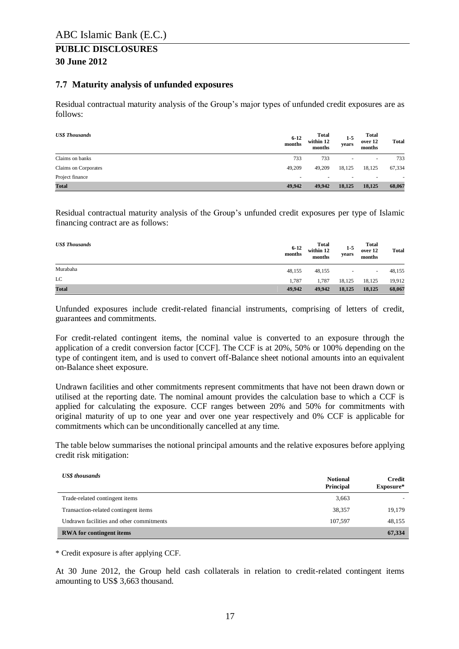#### <span id="page-16-0"></span>**7.7 Maturity analysis of unfunded exposures**

Residual contractual maturity analysis of the Group's major types of unfunded credit exposures are as follows:

| <b>US\$ Thousands</b> | $6 - 12$<br>months | <b>Total</b><br>within 12<br>months | $1-5$<br>years           | Total<br>over 12<br>months | <b>Total</b>             |
|-----------------------|--------------------|-------------------------------------|--------------------------|----------------------------|--------------------------|
| Claims on banks       | 733                | 733                                 | $\overline{\phantom{a}}$ | ٠                          | 733                      |
| Claims on Corporates  | 49,209             | 49,209                              | 18,125                   | 18,125                     | 67,334                   |
| Project finance       | $\,$               |                                     | $\overline{\phantom{a}}$ | -                          | $\overline{\phantom{a}}$ |
| <b>Total</b>          | 49.942             | 49,942                              | 18,125                   | 18,125                     | 68,067                   |

Residual contractual maturity analysis of the Group's unfunded credit exposures per type of Islamic financing contract are as follows:

| <b>US\$ Thousands</b> | $6 - 12$<br>months | Total<br>within 12<br>months | $1-5$<br>years           | Total<br>over 12<br>months | <b>Total</b> |
|-----------------------|--------------------|------------------------------|--------------------------|----------------------------|--------------|
| Murabaha              | 48,155             | 48,155                       | $\overline{\phantom{a}}$ | $\sim$                     | 48,155       |
| LC                    | 1.787              | 1.787                        | 18,125                   | 18,125                     | 19,912       |
| <b>Total</b>          | 49.942             | 49,942                       | 18,125                   | 18,125                     | 68,067       |

Unfunded exposures include credit-related financial instruments, comprising of letters of credit, guarantees and commitments.

For credit-related contingent items, the nominal value is converted to an exposure through the application of a credit conversion factor [CCF]. The CCF is at 20%, 50% or 100% depending on the type of contingent item, and is used to convert off-Balance sheet notional amounts into an equivalent on-Balance sheet exposure.

Undrawn facilities and other commitments represent commitments that have not been drawn down or utilised at the reporting date. The nominal amount provides the calculation base to which a CCF is applied for calculating the exposure. CCF ranges between 20% and 50% for commitments with original maturity of up to one year and over one year respectively and 0% CCF is applicable for commitments which can be unconditionally cancelled at any time.

The table below summarises the notional principal amounts and the relative exposures before applying credit risk mitigation:

| <b>US\$</b> thousands                    | <b>Notional</b><br>Principal | Credit<br>Exposure* |
|------------------------------------------|------------------------------|---------------------|
| Trade-related contingent items           | 3,663                        |                     |
| Transaction-related contingent items     | 38,357                       | 19,179              |
| Undrawn facilities and other commitments | 107.597                      | 48.155              |
| <b>RWA</b> for contingent items          |                              | 67,334              |

\* Credit exposure is after applying CCF.

At 30 June 2012, the Group held cash collaterals in relation to credit-related contingent items amounting to US\$ 3,663 thousand.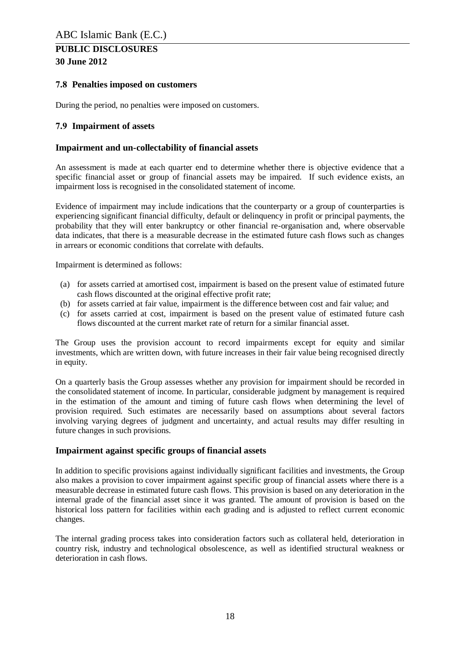#### <span id="page-17-0"></span>**7.8 Penalties imposed on customers**

During the period, no penalties were imposed on customers.

#### <span id="page-17-1"></span>**7.9 Impairment of assets**

#### **Impairment and un-collectability of financial assets**

An assessment is made at each quarter end to determine whether there is objective evidence that a specific financial asset or group of financial assets may be impaired. If such evidence exists, an impairment loss is recognised in the consolidated statement of income.

Evidence of impairment may include indications that the counterparty or a group of counterparties is experiencing significant financial difficulty, default or delinquency in profit or principal payments, the probability that they will enter bankruptcy or other financial re-organisation and, where observable data indicates, that there is a measurable decrease in the estimated future cash flows such as changes in arrears or economic conditions that correlate with defaults.

Impairment is determined as follows:

- (a) for assets carried at amortised cost, impairment is based on the present value of estimated future cash flows discounted at the original effective profit rate;
- (b) for assets carried at fair value, impairment is the difference between cost and fair value; and
- (c) for assets carried at cost, impairment is based on the present value of estimated future cash flows discounted at the current market rate of return for a similar financial asset.

The Group uses the provision account to record impairments except for equity and similar investments, which are written down, with future increases in their fair value being recognised directly in equity.

On a quarterly basis the Group assesses whether any provision for impairment should be recorded in the consolidated statement of income. In particular, considerable judgment by management is required in the estimation of the amount and timing of future cash flows when determining the level of provision required. Such estimates are necessarily based on assumptions about several factors involving varying degrees of judgment and uncertainty, and actual results may differ resulting in future changes in such provisions.

#### **Impairment against specific groups of financial assets**

In addition to specific provisions against individually significant facilities and investments, the Group also makes a provision to cover impairment against specific group of financial assets where there is a measurable decrease in estimated future cash flows. This provision is based on any deterioration in the internal grade of the financial asset since it was granted. The amount of provision is based on the historical loss pattern for facilities within each grading and is adjusted to reflect current economic changes.

The internal grading process takes into consideration factors such as collateral held, deterioration in country risk, industry and technological obsolescence, as well as identified structural weakness or deterioration in cash flows.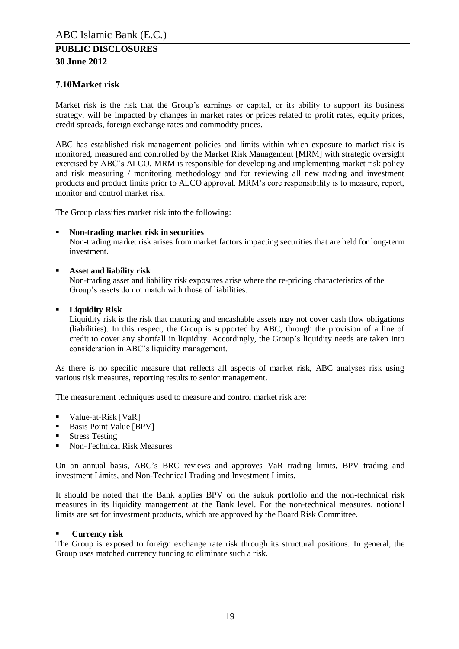#### <span id="page-18-0"></span>**7.10Market risk**

Market risk is the risk that the Group's earnings or capital, or its ability to support its business strategy, will be impacted by changes in market rates or prices related to profit rates, equity prices, credit spreads, foreign exchange rates and commodity prices.

ABC has established risk management policies and limits within which exposure to market risk is monitored, measured and controlled by the Market Risk Management [MRM] with strategic oversight exercised by ABC's ALCO. MRM is responsible for developing and implementing market risk policy and risk measuring / monitoring methodology and for reviewing all new trading and investment products and product limits prior to ALCO approval. MRM's core responsibility is to measure, report, monitor and control market risk.

The Group classifies market risk into the following:

#### **Non-trading market risk in securities**

Non-trading market risk arises from market factors impacting securities that are held for long-term investment.

#### **Asset and liability risk**

Non-trading asset and liability risk exposures arise where the re-pricing characteristics of the Group's assets do not match with those of liabilities.

#### **Liquidity Risk**

Liquidity risk is the risk that maturing and encashable assets may not cover cash flow obligations (liabilities). In this respect, the Group is supported by ABC, through the provision of a line of credit to cover any shortfall in liquidity. Accordingly, the Group's liquidity needs are taken into consideration in ABC's liquidity management.

As there is no specific measure that reflects all aspects of market risk, ABC analyses risk using various risk measures, reporting results to senior management.

The measurement techniques used to measure and control market risk are:

- Value-at-Risk [VaR]
- Basis Point Value [BPV]
- **Stress Testing**
- Non-Technical Risk Measures

On an annual basis, ABC's BRC reviews and approves VaR trading limits, BPV trading and investment Limits, and Non-Technical Trading and Investment Limits.

It should be noted that the Bank applies BPV on the sukuk portfolio and the non-technical risk measures in its liquidity management at the Bank level. For the non-technical measures, notional limits are set for investment products, which are approved by the Board Risk Committee.

#### **Currency risk**

The Group is exposed to foreign exchange rate risk through its structural positions. In general, the Group uses matched currency funding to eliminate such a risk.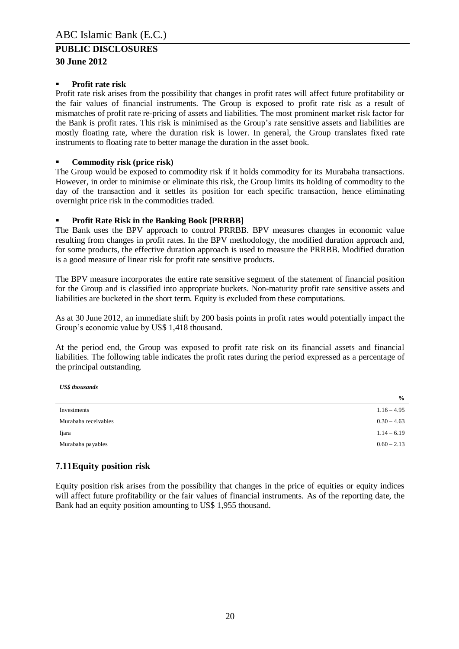#### **30 June 2012**

#### **Profit rate risk**

Profit rate risk arises from the possibility that changes in profit rates will affect future profitability or the fair values of financial instruments. The Group is exposed to profit rate risk as a result of mismatches of profit rate re-pricing of assets and liabilities. The most prominent market risk factor for the Bank is profit rates. This risk is minimised as the Group's rate sensitive assets and liabilities are mostly floating rate, where the duration risk is lower. In general, the Group translates fixed rate instruments to floating rate to better manage the duration in the asset book.

#### **Commodity risk (price risk)**

The Group would be exposed to commodity risk if it holds commodity for its Murabaha transactions. However, in order to minimise or eliminate this risk, the Group limits its holding of commodity to the day of the transaction and it settles its position for each specific transaction, hence eliminating overnight price risk in the commodities traded.

#### **Profit Rate Risk in the Banking Book [PRRBB]**

The Bank uses the BPV approach to control PRRBB. BPV measures changes in economic value resulting from changes in profit rates. In the BPV methodology, the modified duration approach and, for some products, the effective duration approach is used to measure the PRRBB. Modified duration is a good measure of linear risk for profit rate sensitive products.

The BPV measure incorporates the entire rate sensitive segment of the statement of financial position for the Group and is classified into appropriate buckets. Non-maturity profit rate sensitive assets and liabilities are bucketed in the short term. Equity is excluded from these computations.

As at 30 June 2012, an immediate shift by 200 basis points in profit rates would potentially impact the Group's economic value by US\$ 1,418 thousand.

At the period end, the Group was exposed to profit rate risk on its financial assets and financial liabilities. The following table indicates the profit rates during the period expressed as a percentage of the principal outstanding.

| ---------------      |               |
|----------------------|---------------|
|                      | $\frac{0}{0}$ |
| Investments          | $1.16 - 4.95$ |
| Murabaha receivables | $0.30 - 4.63$ |
| Ijara                | $1.14 - 6.19$ |
| Murabaha payables    | $0.60 - 2.13$ |

#### <span id="page-19-0"></span>**7.11Equity position risk**

*US\$ thousands*

Equity position risk arises from the possibility that changes in the price of equities or equity indices will affect future profitability or the fair values of financial instruments. As of the reporting date, the Bank had an equity position amounting to US\$ 1,955 thousand.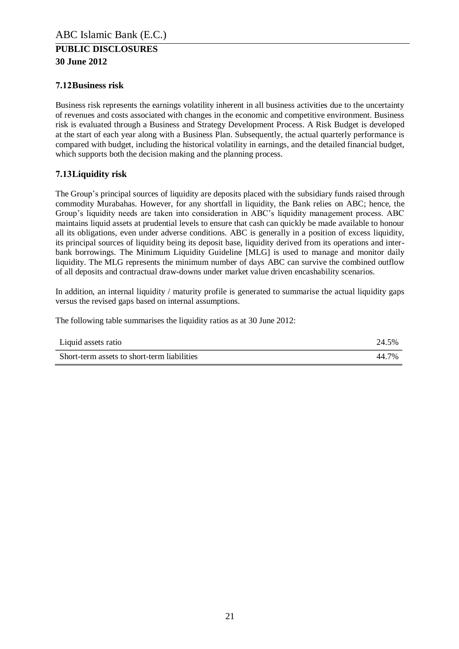#### <span id="page-20-0"></span>**7.12Business risk**

Business risk represents the earnings volatility inherent in all business activities due to the uncertainty of revenues and costs associated with changes in the economic and competitive environment. Business risk is evaluated through a Business and Strategy Development Process. A Risk Budget is developed at the start of each year along with a Business Plan. Subsequently, the actual quarterly performance is compared with budget, including the historical volatility in earnings, and the detailed financial budget, which supports both the decision making and the planning process.

#### <span id="page-20-1"></span>**7.13Liquidity risk**

The Group's principal sources of liquidity are deposits placed with the subsidiary funds raised through commodity Murabahas. However, for any shortfall in liquidity, the Bank relies on ABC; hence, the Group's liquidity needs are taken into consideration in ABC's liquidity management process. ABC maintains liquid assets at prudential levels to ensure that cash can quickly be made available to honour all its obligations, even under adverse conditions. ABC is generally in a position of excess liquidity, its principal sources of liquidity being its deposit base, liquidity derived from its operations and interbank borrowings. The Minimum Liquidity Guideline [MLG] is used to manage and monitor daily liquidity. The MLG represents the minimum number of days ABC can survive the combined outflow of all deposits and contractual draw-downs under market value driven encashability scenarios.

In addition, an internal liquidity / maturity profile is generated to summarise the actual liquidity gaps versus the revised gaps based on internal assumptions.

The following table summarises the liquidity ratios as at 30 June 2012:

| Liquid assets ratio                         | 24.5% |
|---------------------------------------------|-------|
| Short-term assets to short-term liabilities | 44 7% |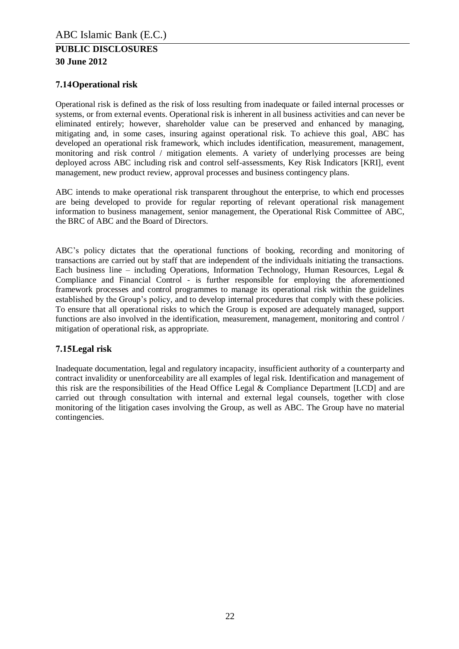#### <span id="page-21-0"></span>**7.14Operational risk**

Operational risk is defined as the risk of loss resulting from inadequate or failed internal processes or systems, or from external events. Operational risk is inherent in all business activities and can never be eliminated entirely; however, shareholder value can be preserved and enhanced by managing, mitigating and, in some cases, insuring against operational risk. To achieve this goal, ABC has developed an operational risk framework, which includes identification, measurement, management, monitoring and risk control / mitigation elements. A variety of underlying processes are being deployed across ABC including risk and control self-assessments, Key Risk Indicators [KRI], event management, new product review, approval processes and business contingency plans.

ABC intends to make operational risk transparent throughout the enterprise, to which end processes are being developed to provide for regular reporting of relevant operational risk management information to business management, senior management, the Operational Risk Committee of ABC, the BRC of ABC and the Board of Directors.

ABC's policy dictates that the operational functions of booking, recording and monitoring of transactions are carried out by staff that are independent of the individuals initiating the transactions. Each business line – including Operations, Information Technology, Human Resources, Legal  $\&$ Compliance and Financial Control - is further responsible for employing the aforementioned framework processes and control programmes to manage its operational risk within the guidelines established by the Group's policy, and to develop internal procedures that comply with these policies. To ensure that all operational risks to which the Group is exposed are adequately managed, support functions are also involved in the identification, measurement, management, monitoring and control / mitigation of operational risk, as appropriate.

#### <span id="page-21-1"></span>**7.15Legal risk**

Inadequate documentation, legal and regulatory incapacity, insufficient authority of a counterparty and contract invalidity or unenforceability are all examples of legal risk. Identification and management of this risk are the responsibilities of the Head Office Legal & Compliance Department [LCD] and are carried out through consultation with internal and external legal counsels, together with close monitoring of the litigation cases involving the Group, as well as ABC. The Group have no material contingencies.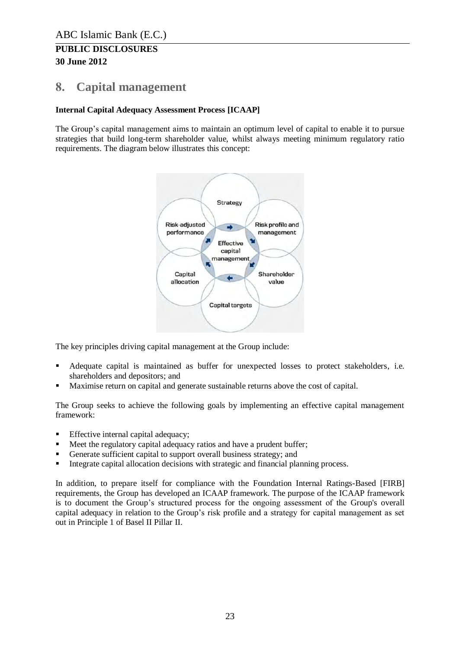# <span id="page-22-0"></span>**8. Capital management**

#### **Internal Capital Adequacy Assessment Process [ICAAP]**

The Group's capital management aims to maintain an optimum level of capital to enable it to pursue strategies that build long-term shareholder value, whilst always meeting minimum regulatory ratio requirements. The diagram below illustrates this concept:



The key principles driving capital management at the Group include:

- Adequate capital is maintained as buffer for unexpected losses to protect stakeholders, i.e. shareholders and depositors; and
- Maximise return on capital and generate sustainable returns above the cost of capital.

The Group seeks to achieve the following goals by implementing an effective capital management framework:

- **Effective internal capital adequacy;**
- Meet the regulatory capital adequacy ratios and have a prudent buffer;
- Generate sufficient capital to support overall business strategy; and
- **Integrate capital allocation decisions with strategic and financial planning process.**

In addition, to prepare itself for compliance with the Foundation Internal Ratings-Based [FIRB] requirements, the Group has developed an ICAAP framework. The purpose of the ICAAP framework is to document the Group's structured process for the ongoing assessment of the Group's overall capital adequacy in relation to the Group's risk profile and a strategy for capital management as set out in Principle 1 of Basel II Pillar II.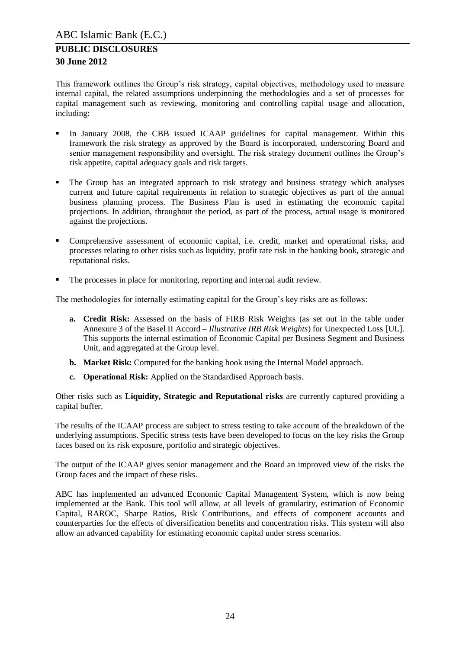This framework outlines the Group's risk strategy, capital objectives, methodology used to measure internal capital, the related assumptions underpinning the methodologies and a set of processes for capital management such as reviewing, monitoring and controlling capital usage and allocation, including:

- In January 2008, the CBB issued ICAAP guidelines for capital management. Within this framework the risk strategy as approved by the Board is incorporated, underscoring Board and senior management responsibility and oversight. The risk strategy document outlines the Group's risk appetite, capital adequacy goals and risk targets.
- The Group has an integrated approach to risk strategy and business strategy which analyses current and future capital requirements in relation to strategic objectives as part of the annual business planning process. The Business Plan is used in estimating the economic capital projections. In addition, throughout the period, as part of the process, actual usage is monitored against the projections.
- Comprehensive assessment of economic capital, i.e. credit, market and operational risks, and processes relating to other risks such as liquidity, profit rate risk in the banking book, strategic and reputational risks.
- The processes in place for monitoring, reporting and internal audit review.

The methodologies for internally estimating capital for the Group's key risks are as follows:

- **a. Credit Risk:** Assessed on the basis of FIRB Risk Weights (as set out in the table under Annexure 3 of the Basel II Accord – *Illustrative IRB Risk Weights*) for Unexpected Loss [UL]. This supports the internal estimation of Economic Capital per Business Segment and Business Unit, and aggregated at the Group level.
- **b. Market Risk:** Computed for the banking book using the Internal Model approach.
- **c. Operational Risk:** Applied on the Standardised Approach basis.

Other risks such as **Liquidity, Strategic and Reputational risks** are currently captured providing a capital buffer.

The results of the ICAAP process are subject to stress testing to take account of the breakdown of the underlying assumptions. Specific stress tests have been developed to focus on the key risks the Group faces based on its risk exposure, portfolio and strategic objectives.

The output of the ICAAP gives senior management and the Board an improved view of the risks the Group faces and the impact of these risks.

ABC has implemented an advanced Economic Capital Management System, which is now being implemented at the Bank. This tool will allow, at all levels of granularity, estimation of Economic Capital, RAROC, Sharpe Ratios, Risk Contributions, and effects of component accounts and counterparties for the effects of diversification benefits and concentration risks. This system will also allow an advanced capability for estimating economic capital under stress scenarios.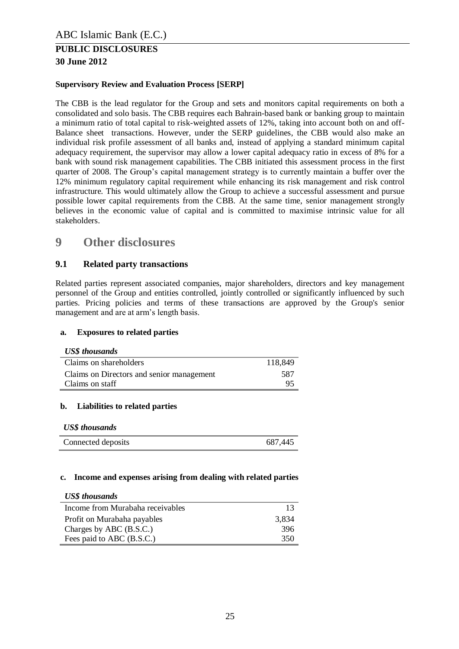#### **Supervisory Review and Evaluation Process [SERP]**

The CBB is the lead regulator for the Group and sets and monitors capital requirements on both a consolidated and solo basis. The CBB requires each Bahrain-based bank or banking group to maintain a minimum ratio of total capital to risk-weighted assets of 12%, taking into account both on and off-Balance sheet transactions. However, under the SERP guidelines, the CBB would also make an individual risk profile assessment of all banks and, instead of applying a standard minimum capital adequacy requirement, the supervisor may allow a lower capital adequacy ratio in excess of 8% for a bank with sound risk management capabilities. The CBB initiated this assessment process in the first quarter of 2008. The Group's capital management strategy is to currently maintain a buffer over the 12% minimum regulatory capital requirement while enhancing its risk management and risk control infrastructure. This would ultimately allow the Group to achieve a successful assessment and pursue possible lower capital requirements from the CBB. At the same time, senior management strongly believes in the economic value of capital and is committed to maximise intrinsic value for all stakeholders.

# <span id="page-24-0"></span>**9 Other disclosures**

#### <span id="page-24-1"></span>**9.1 Related party transactions**

Related parties represent associated companies, major shareholders, directors and key management personnel of the Group and entities controlled, jointly controlled or significantly influenced by such parties. Pricing policies and terms of these transactions are approved by the Group's senior management and are at arm's length basis.

#### **a. Exposures to related parties**

#### *US\$ thousands*

| Claims on shareholders                    | 118,849 |
|-------------------------------------------|---------|
| Claims on Directors and senior management | 587     |
| Claims on staff                           | 95.     |

#### **b. Liabilities to related parties**

#### *US\$ thousands*

| Connected deposits | 687,445 |
|--------------------|---------|

#### **c. Income and expenses arising from dealing with related parties**

#### *US\$ thousands*

| Income from Murabaha receivables | 13    |
|----------------------------------|-------|
| Profit on Murabaha payables      | 3,834 |
| Charges by ABC (B.S.C.)          | 396   |
| Fees paid to ABC (B.S.C.)        | 350   |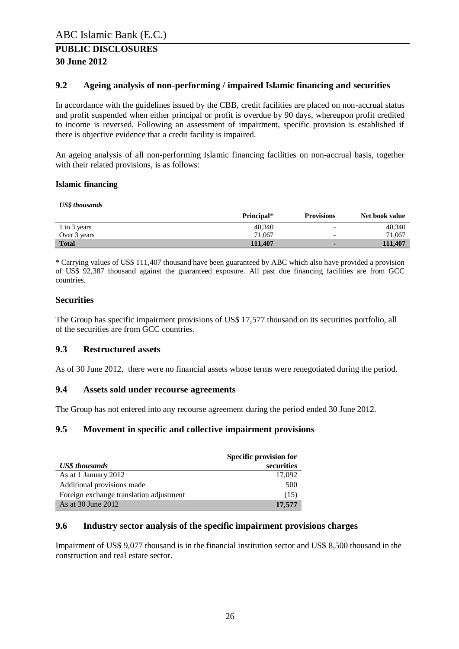#### <span id="page-25-0"></span>**9.2 Ageing analysis of non-performing / impaired Islamic financing and securities**

In accordance with the guidelines issued by the CBB, credit facilities are placed on non-accrual status and profit suspended when either principal or profit is overdue by 90 days, whereupon profit credited to income is reversed. Following an assessment of impairment, specific provision is established if there is objective evidence that a credit facility is impaired.

An ageing analysis of all non-performing Islamic financing facilities on non-accrual basis, together with their related provisions, is as follows:

#### **Islamic financing**

#### *US\$ thousands*

|              | Principal* | <b>Provisions</b>        | Net book value |
|--------------|------------|--------------------------|----------------|
| 1 to 3 years | 40.340     | $\overline{\phantom{0}}$ | 40.340         |
| Over 3 years | 71.067     |                          | 71,067         |
| <b>Total</b> | 111.407    |                          | 111.407        |

\* Carrying values of US\$ 111,407 thousand have been guaranteed by ABC which also have provided a provision of US\$ 92,387 thousand against the guaranteed exposure. All past due financing facilities are from GCC countries.

#### **Securities**

The Group has specific impairment provisions of US\$ 17,577 thousand on its securities portfolio, all of the securities are from GCC countries.

#### <span id="page-25-1"></span>**9.3 Restructured assets**

As of 30 June 2012, there were no financial assets whose terms were renegotiated during the period.

#### <span id="page-25-2"></span>**9.4 Assets sold under recourse agreements**

The Group has not entered into any recourse agreement during the period ended 30 June 2012.

#### <span id="page-25-3"></span>**9.5 Movement in specific and collective impairment provisions**

|                                         | Specific provision for |  |  |
|-----------------------------------------|------------------------|--|--|
| <b>US\$</b> thousands                   | securities             |  |  |
| As at 1 January 2012                    | 17.092                 |  |  |
| Additional provisions made              | 500                    |  |  |
| Foreign exchange translation adjustment | (15)                   |  |  |
| As at 30 June 2012                      | 17,577                 |  |  |

#### <span id="page-25-4"></span>**9.6 Industry sector analysis of the specific impairment provisions charges**

Impairment of US\$ 9,077 thousand is in the financial institution sector and US\$ 8,500 thousand in the construction and real estate sector.